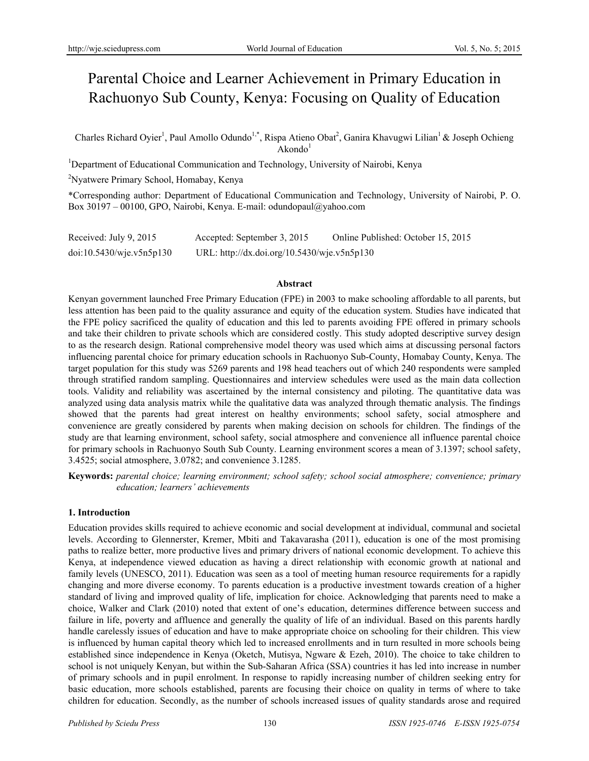# Parental Choice and Learner Achievement in Primary Education in Rachuonyo Sub County, Kenya: Focusing on Quality of Education

Charles Richard Oyier<sup>1</sup>, Paul Amollo Odundo<sup>1,\*</sup>, Rispa Atieno Obat<sup>2</sup>, Ganira Khavugwi Lilian<sup>1</sup> & Joseph Ochieng  $Akondo<sup>1</sup>$ 

<sup>1</sup>Department of Educational Communication and Technology, University of Nairobi, Kenya

2 Nyatwere Primary School, Homabay, Kenya

\*Corresponding author: Department of Educational Communication and Technology, University of Nairobi, P. O. Box 30197 – 00100, GPO, Nairobi, Kenya. E-mail: odundopaul@yahoo.com

| Received: July 9, 2015   | Accepted: September 3, 2015                 | Online Published: October 15, 2015 |
|--------------------------|---------------------------------------------|------------------------------------|
| doi:10.5430/wje.v5n5p130 | URL: http://dx.doi.org/10.5430/wje.v5n5p130 |                                    |

#### **Abstract**

Kenyan government launched Free Primary Education (FPE) in 2003 to make schooling affordable to all parents, but less attention has been paid to the quality assurance and equity of the education system. Studies have indicated that the FPE policy sacrificed the quality of education and this led to parents avoiding FPE offered in primary schools and take their children to private schools which are considered costly. This study adopted descriptive survey design to as the research design. Rational comprehensive model theory was used which aims at discussing personal factors influencing parental choice for primary education schools in Rachuonyo Sub-County, Homabay County, Kenya. The target population for this study was 5269 parents and 198 head teachers out of which 240 respondents were sampled through stratified random sampling. Questionnaires and interview schedules were used as the main data collection tools. Validity and reliability was ascertained by the internal consistency and piloting. The quantitative data was analyzed using data analysis matrix while the qualitative data was analyzed through thematic analysis. The findings showed that the parents had great interest on healthy environments; school safety, social atmosphere and convenience are greatly considered by parents when making decision on schools for children. The findings of the study are that learning environment, school safety, social atmosphere and convenience all influence parental choice for primary schools in Rachuonyo South Sub County. Learning environment scores a mean of 3.1397; school safety, 3.4525; social atmosphere, 3.0782; and convenience 3.1285.

**Keywords:** *parental choice; learning environment; school safety; school social atmosphere; convenience; primary education; learners' achievements* 

## **1. Introduction**

Education provides skills required to achieve economic and social development at individual, communal and societal levels. According to Glennerster, Kremer, Mbiti and Takavarasha (2011), education is one of the most promising paths to realize better, more productive lives and primary drivers of national economic development. To achieve this Kenya, at independence viewed education as having a direct relationship with economic growth at national and family levels (UNESCO, 2011). Education was seen as a tool of meeting human resource requirements for a rapidly changing and more diverse economy. To parents education is a productive investment towards creation of a higher standard of living and improved quality of life, implication for choice. Acknowledging that parents need to make a choice, Walker and Clark (2010) noted that extent of one's education, determines difference between success and failure in life, poverty and affluence and generally the quality of life of an individual. Based on this parents hardly handle carelessly issues of education and have to make appropriate choice on schooling for their children. This view is influenced by human capital theory which led to increased enrollments and in turn resulted in more schools being established since independence in Kenya (Oketch, Mutisya, Ngware & Ezeh, 2010). The choice to take children to school is not uniquely Kenyan, but within the Sub-Saharan Africa (SSA) countries it has led into increase in number of primary schools and in pupil enrolment. In response to rapidly increasing number of children seeking entry for basic education, more schools established, parents are focusing their choice on quality in terms of where to take children for education. Secondly, as the number of schools increased issues of quality standards arose and required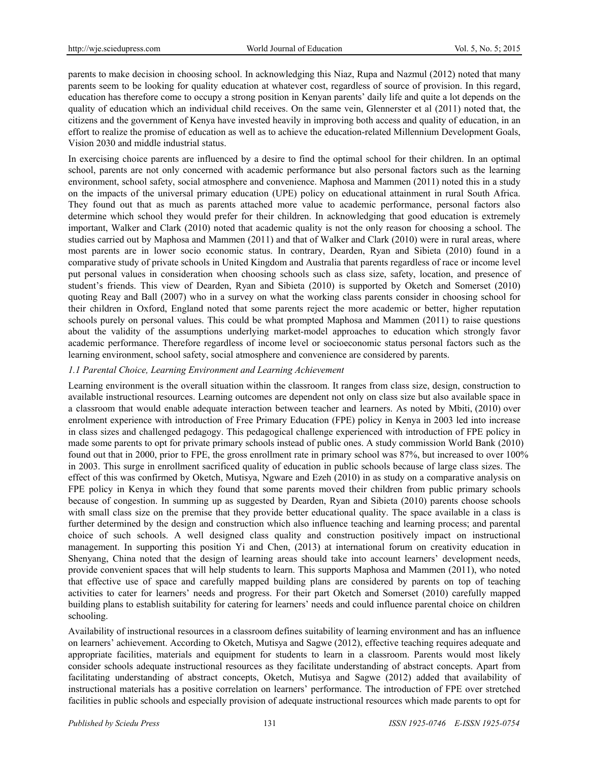parents to make decision in choosing school. In acknowledging this Niaz, Rupa and Nazmul (2012) noted that many parents seem to be looking for quality education at whatever cost, regardless of source of provision. In this regard, education has therefore come to occupy a strong position in Kenyan parents' daily life and quite a lot depends on the quality of education which an individual child receives. On the same vein, Glennerster et al (2011) noted that, the citizens and the government of Kenya have invested heavily in improving both access and quality of education, in an effort to realize the promise of education as well as to achieve the education-related Millennium Development Goals, Vision 2030 and middle industrial status.

In exercising choice parents are influenced by a desire to find the optimal school for their children. In an optimal school, parents are not only concerned with academic performance but also personal factors such as the learning environment, school safety, social atmosphere and convenience. Maphosa and Mammen (2011) noted this in a study on the impacts of the universal primary education (UPE) policy on educational attainment in rural South Africa. They found out that as much as parents attached more value to academic performance, personal factors also determine which school they would prefer for their children. In acknowledging that good education is extremely important, Walker and Clark (2010) noted that academic quality is not the only reason for choosing a school. The studies carried out by Maphosa and Mammen (2011) and that of Walker and Clark (2010) were in rural areas, where most parents are in lower socio economic status. In contrary, Dearden, Ryan and Sibieta (2010) found in a comparative study of private schools in United Kingdom and Australia that parents regardless of race or income level put personal values in consideration when choosing schools such as class size, safety, location, and presence of student's friends. This view of Dearden, Ryan and Sibieta (2010) is supported by Oketch and Somerset (2010) quoting Reay and Ball (2007) who in a survey on what the working class parents consider in choosing school for their children in Oxford, England noted that some parents reject the more academic or better, higher reputation schools purely on personal values. This could be what prompted Maphosa and Mammen (2011) to raise questions about the validity of the assumptions underlying market-model approaches to education which strongly favor academic performance. Therefore regardless of income level or socioeconomic status personal factors such as the learning environment, school safety, social atmosphere and convenience are considered by parents.

# *1.1 Parental Choice, Learning Environment and Learning Achievement*

Learning environment is the overall situation within the classroom. It ranges from class size, design, construction to available instructional resources. Learning outcomes are dependent not only on class size but also available space in a classroom that would enable adequate interaction between teacher and learners. As noted by Mbiti, (2010) over enrolment experience with introduction of Free Primary Education (FPE) policy in Kenya in 2003 led into increase in class sizes and challenged pedagogy. This pedagogical challenge experienced with introduction of FPE policy in made some parents to opt for private primary schools instead of public ones. A study commission World Bank (2010) found out that in 2000, prior to FPE, the gross enrollment rate in primary school was 87%, but increased to over 100% in 2003. This surge in enrollment sacrificed quality of education in public schools because of large class sizes. The effect of this was confirmed by Oketch, Mutisya, Ngware and Ezeh (2010) in as study on a comparative analysis on FPE policy in Kenya in which they found that some parents moved their children from public primary schools because of congestion. In summing up as suggested by Dearden, Ryan and Sibieta (2010) parents choose schools with small class size on the premise that they provide better educational quality. The space available in a class is further determined by the design and construction which also influence teaching and learning process; and parental choice of such schools. A well designed class quality and construction positively impact on instructional management. In supporting this position Yi and Chen, (2013) at international forum on creativity education in Shenyang, China noted that the design of learning areas should take into account learners' development needs, provide convenient spaces that will help students to learn. This supports Maphosa and Mammen (2011), who noted that effective use of space and carefully mapped building plans are considered by parents on top of teaching activities to cater for learners' needs and progress. For their part Oketch and Somerset (2010) carefully mapped building plans to establish suitability for catering for learners' needs and could influence parental choice on children schooling.

Availability of instructional resources in a classroom defines suitability of learning environment and has an influence on learners' achievement. According to Oketch, Mutisya and Sagwe (2012), effective teaching requires adequate and appropriate facilities, materials and equipment for students to learn in a classroom. Parents would most likely consider schools adequate instructional resources as they facilitate understanding of abstract concepts. Apart from facilitating understanding of abstract concepts, Oketch, Mutisya and Sagwe (2012) added that availability of instructional materials has a positive correlation on learners' performance. The introduction of FPE over stretched facilities in public schools and especially provision of adequate instructional resources which made parents to opt for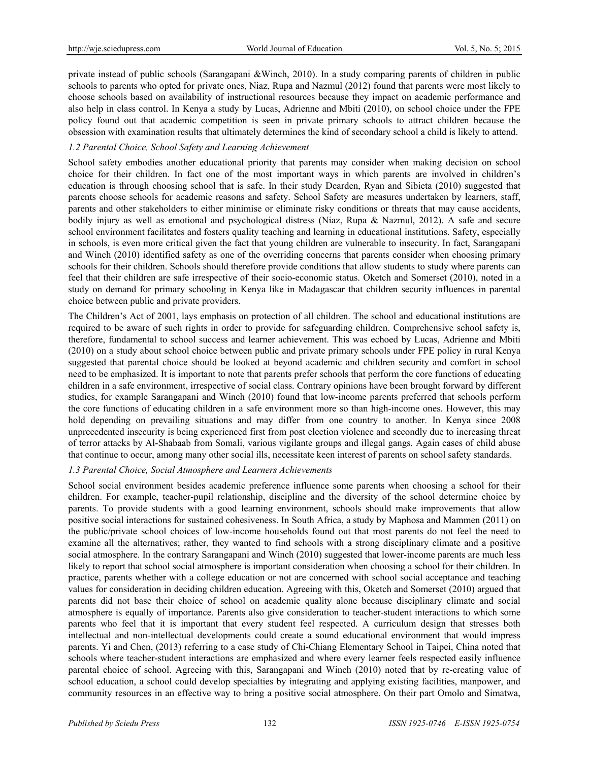private instead of public schools (Sarangapani &Winch, 2010). In a study comparing parents of children in public schools to parents who opted for private ones, Niaz, Rupa and Nazmul (2012) found that parents were most likely to choose schools based on availability of instructional resources because they impact on academic performance and also help in class control. In Kenya a study by Lucas, Adrienne and Mbiti (2010), on school choice under the FPE policy found out that academic competition is seen in private primary schools to attract children because the obsession with examination results that ultimately determines the kind of secondary school a child is likely to attend.

# *1.2 Parental Choice, School Safety and Learning Achievement*

School safety embodies another educational priority that parents may consider when making decision on school choice for their children. In fact one of the most important ways in which parents are involved in children's education is through choosing school that is safe. In their study Dearden, Ryan and Sibieta (2010) suggested that parents choose schools for academic reasons and safety. School Safety are measures undertaken by learners, staff, parents and other stakeholders to either minimise or eliminate risky conditions or threats that may cause accidents, bodily injury as well as emotional and psychological distress (Niaz, Rupa & Nazmul, 2012). A safe and secure school environment facilitates and fosters quality teaching and learning in educational institutions. Safety, especially in schools, is even more critical given the fact that young children are vulnerable to insecurity. In fact, Sarangapani and Winch (2010) identified safety as one of the overriding concerns that parents consider when choosing primary schools for their children. Schools should therefore provide conditions that allow students to study where parents can feel that their children are safe irrespective of their socio-economic status. Oketch and Somerset (2010), noted in a study on demand for primary schooling in Kenya like in Madagascar that children security influences in parental choice between public and private providers.

The Children's Act of 2001, lays emphasis on protection of all children. The school and educational institutions are required to be aware of such rights in order to provide for safeguarding children. Comprehensive school safety is, therefore, fundamental to school success and learner achievement. This was echoed by Lucas, Adrienne and Mbiti (2010) on a study about school choice between public and private primary schools under FPE policy in rural Kenya suggested that parental choice should be looked at beyond academic and children security and comfort in school need to be emphasized. It is important to note that parents prefer schools that perform the core functions of educating children in a safe environment, irrespective of social class. Contrary opinions have been brought forward by different studies, for example Sarangapani and Winch (2010) found that low-income parents preferred that schools perform the core functions of educating children in a safe environment more so than high-income ones. However, this may hold depending on prevailing situations and may differ from one country to another. In Kenya since 2008 unprecedented insecurity is being experienced first from post election violence and secondly due to increasing threat of terror attacks by Al-Shabaab from Somali, various vigilante groups and illegal gangs. Again cases of child abuse that continue to occur, among many other social ills, necessitate keen interest of parents on school safety standards.

## *1.3 Parental Choice, Social Atmosphere and Learners Achievements*

School social environment besides academic preference influence some parents when choosing a school for their children. For example, teacher-pupil relationship, discipline and the diversity of the school determine choice by parents. To provide students with a good learning environment, schools should make improvements that allow positive social interactions for sustained cohesiveness. In South Africa, a study by Maphosa and Mammen (2011) on the public/private school choices of low-income households found out that most parents do not feel the need to examine all the alternatives; rather, they wanted to find schools with a strong disciplinary climate and a positive social atmosphere. In the contrary Sarangapani and Winch (2010) suggested that lower-income parents are much less likely to report that school social atmosphere is important consideration when choosing a school for their children. In practice, parents whether with a college education or not are concerned with school social acceptance and teaching values for consideration in deciding children education. Agreeing with this, Oketch and Somerset (2010) argued that parents did not base their choice of school on academic quality alone because disciplinary climate and social atmosphere is equally of importance. Parents also give consideration to teacher-student interactions to which some parents who feel that it is important that every student feel respected. A curriculum design that stresses both intellectual and non-intellectual developments could create a sound educational environment that would impress parents. Yi and Chen, (2013) referring to a case study of Chi-Chiang Elementary School in Taipei, China noted that schools where teacher-student interactions are emphasized and where every learner feels respected easily influence parental choice of school. Agreeing with this, Sarangapani and Winch (2010) noted that by re-creating value of school education, a school could develop specialties by integrating and applying existing facilities, manpower, and community resources in an effective way to bring a positive social atmosphere. On their part Omolo and Simatwa,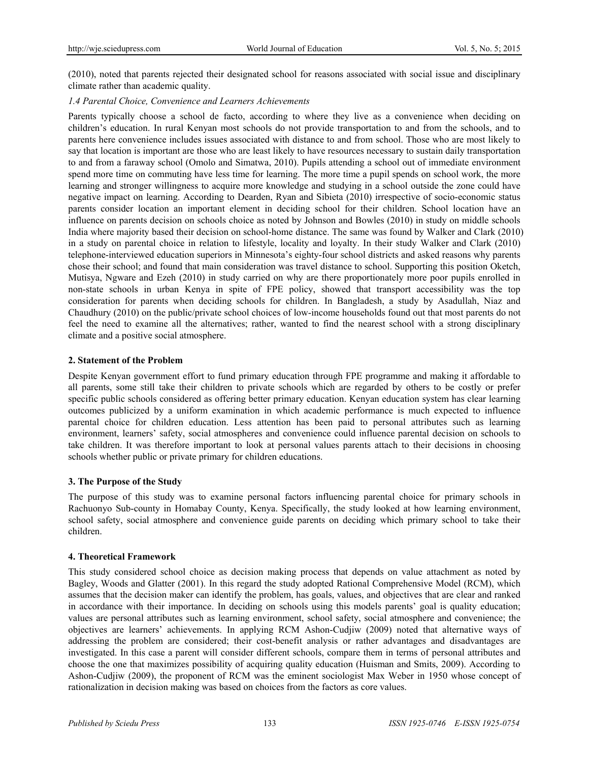(2010), noted that parents rejected their designated school for reasons associated with social issue and disciplinary climate rather than academic quality.

## *1.4 Parental Choice, Convenience and Learners Achievements*

Parents typically choose a school de facto, according to where they live as a convenience when deciding on children's education. In rural Kenyan most schools do not provide transportation to and from the schools, and to parents here convenience includes issues associated with distance to and from school. Those who are most likely to say that location is important are those who are least likely to have resources necessary to sustain daily transportation to and from a faraway school (Omolo and Simatwa, 2010). Pupils attending a school out of immediate environment spend more time on commuting have less time for learning. The more time a pupil spends on school work, the more learning and stronger willingness to acquire more knowledge and studying in a school outside the zone could have negative impact on learning. According to Dearden, Ryan and Sibieta (2010) irrespective of socio-economic status parents consider location an important element in deciding school for their children. School location have an influence on parents decision on schools choice as noted by Johnson and Bowles (2010) in study on middle schools India where majority based their decision on school-home distance. The same was found by Walker and Clark (2010) in a study on parental choice in relation to lifestyle, locality and loyalty. In their study Walker and Clark (2010) telephone-interviewed education superiors in Minnesota's eighty-four school districts and asked reasons why parents chose their school; and found that main consideration was travel distance to school. Supporting this position Oketch, Mutisya, Ngware and Ezeh (2010) in study carried on why are there proportionately more poor pupils enrolled in non-state schools in urban Kenya in spite of FPE policy, showed that transport accessibility was the top consideration for parents when deciding schools for children. In Bangladesh, a study by Asadullah, Niaz and Chaudhury (2010) on the public/private school choices of low-income households found out that most parents do not feel the need to examine all the alternatives; rather, wanted to find the nearest school with a strong disciplinary climate and a positive social atmosphere.

#### **2. Statement of the Problem**

Despite Kenyan government effort to fund primary education through FPE programme and making it affordable to all parents, some still take their children to private schools which are regarded by others to be costly or prefer specific public schools considered as offering better primary education. Kenyan education system has clear learning outcomes publicized by a uniform examination in which academic performance is much expected to influence parental choice for children education. Less attention has been paid to personal attributes such as learning environment, learners' safety, social atmospheres and convenience could influence parental decision on schools to take children. It was therefore important to look at personal values parents attach to their decisions in choosing schools whether public or private primary for children educations.

## **3. The Purpose of the Study**

The purpose of this study was to examine personal factors influencing parental choice for primary schools in Rachuonyo Sub-county in Homabay County, Kenya. Specifically, the study looked at how learning environment, school safety, social atmosphere and convenience guide parents on deciding which primary school to take their children.

## **4. Theoretical Framework**

This study considered school choice as decision making process that depends on value attachment as noted by Bagley, Woods and Glatter (2001). In this regard the study adopted Rational Comprehensive Model (RCM), which assumes that the decision maker can identify the problem, has goals, values, and objectives that are clear and ranked in accordance with their importance. In deciding on schools using this models parents' goal is quality education; values are personal attributes such as learning environment, school safety, social atmosphere and convenience; the objectives are learners' achievements. In applying RCM Ashon-Cudjiw (2009) noted that alternative ways of addressing the problem are considered; their cost-benefit analysis or rather advantages and disadvantages are investigated. In this case a parent will consider different schools, compare them in terms of personal attributes and choose the one that maximizes possibility of acquiring quality education (Huisman and Smits, 2009). According to Ashon-Cudjiw (2009), the proponent of RCM was the eminent sociologist Max Weber in 1950 whose concept of rationalization in decision making was based on choices from the factors as core values.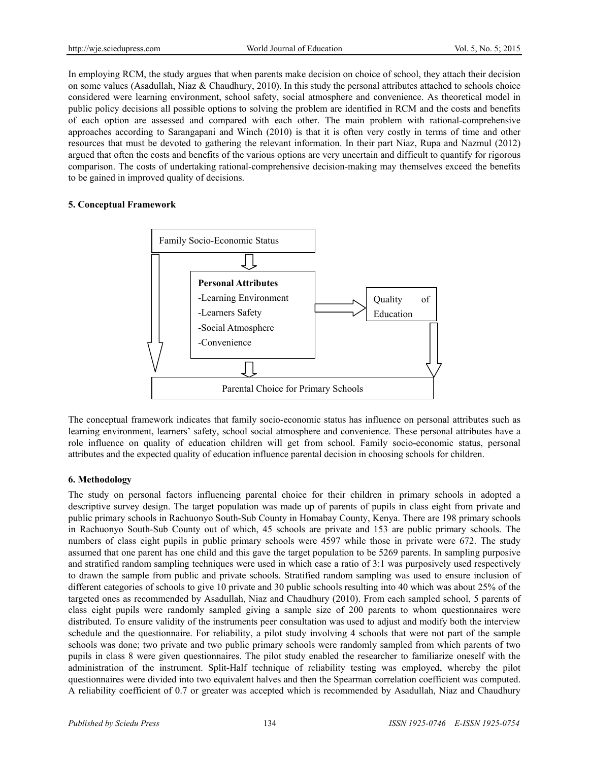In employing RCM, the study argues that when parents make decision on choice of school, they attach their decision on some values (Asadullah, Niaz & Chaudhury, 2010). In this study the personal attributes attached to schools choice considered were learning environment, school safety, social atmosphere and convenience. As theoretical model in public policy decisions all possible options to solving the problem are identified in RCM and the costs and benefits of each option are assessed and compared with each other. The main problem with rational-comprehensive approaches according to Sarangapani and Winch (2010) is that it is often very costly in terms of time and other resources that must be devoted to gathering the relevant information. In their part Niaz, Rupa and Nazmul (2012) argued that often the costs and benefits of the various options are very uncertain and difficult to quantify for rigorous comparison. The costs of undertaking rational-comprehensive decision-making may themselves exceed the benefits to be gained in improved quality of decisions.

## **5. Conceptual Framework**



The conceptual framework indicates that family socio-economic status has influence on personal attributes such as learning environment, learners' safety, school social atmosphere and convenience. These personal attributes have a role influence on quality of education children will get from school. Family socio-economic status, personal attributes and the expected quality of education influence parental decision in choosing schools for children.

## **6. Methodology**

The study on personal factors influencing parental choice for their children in primary schools in adopted a descriptive survey design. The target population was made up of parents of pupils in class eight from private and public primary schools in Rachuonyo South-Sub County in Homabay County, Kenya. There are 198 primary schools in Rachuonyo South-Sub County out of which, 45 schools are private and 153 are public primary schools. The numbers of class eight pupils in public primary schools were 4597 while those in private were 672. The study assumed that one parent has one child and this gave the target population to be 5269 parents. In sampling purposive and stratified random sampling techniques were used in which case a ratio of 3:1 was purposively used respectively to drawn the sample from public and private schools. Stratified random sampling was used to ensure inclusion of different categories of schools to give 10 private and 30 public schools resulting into 40 which was about 25% of the targeted ones as recommended by Asadullah, Niaz and Chaudhury (2010). From each sampled school, 5 parents of class eight pupils were randomly sampled giving a sample size of 200 parents to whom questionnaires were distributed. To ensure validity of the instruments peer consultation was used to adjust and modify both the interview schedule and the questionnaire. For reliability, a pilot study involving 4 schools that were not part of the sample schools was done; two private and two public primary schools were randomly sampled from which parents of two pupils in class 8 were given questionnaires. The pilot study enabled the researcher to familiarize oneself with the administration of the instrument. Split-Half technique of reliability testing was employed, whereby the pilot questionnaires were divided into two equivalent halves and then the Spearman correlation coefficient was computed. A reliability coefficient of 0.7 or greater was accepted which is recommended by Asadullah, Niaz and Chaudhury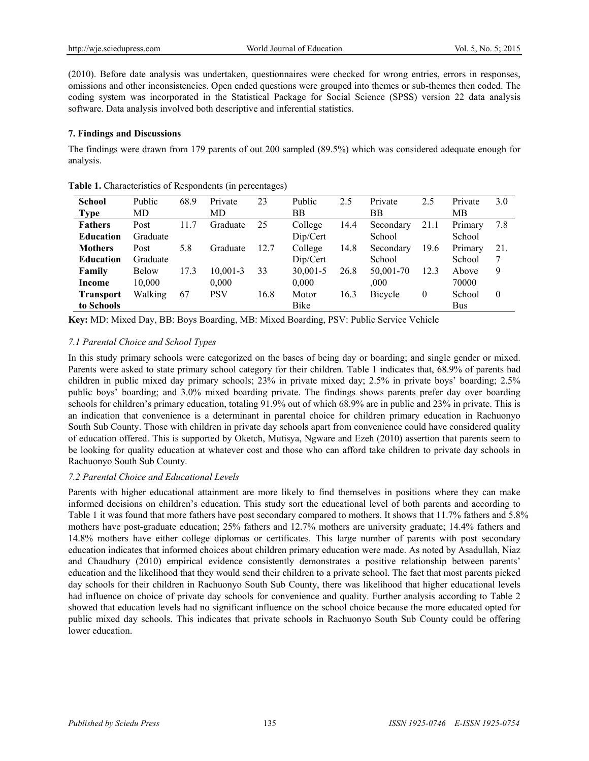(2010). Before date analysis was undertaken, questionnaires were checked for wrong entries, errors in responses, omissions and other inconsistencies. Open ended questions were grouped into themes or sub-themes then coded. The coding system was incorporated in the Statistical Package for Social Science (SPSS) version 22 data analysis software. Data analysis involved both descriptive and inferential statistics.

## **7. Findings and Discussions**

The findings were drawn from 179 parents of out 200 sampled (89.5%) which was considered adequate enough for analysis.

| <b>School</b>    | Public       | 68.9 | Private    | 23   | Public   | 2.5  | Private        | 2.5          | Private    | 3.0      |
|------------------|--------------|------|------------|------|----------|------|----------------|--------------|------------|----------|
| <b>Type</b>      | MD           |      | MD         |      | ΒB       |      | ΒB             |              | MВ         |          |
| <b>Fathers</b>   | Post         | -7   | Graduate   | 25   | College  | 14.4 | Secondary      | 21.1         | Primary    | 7.8      |
| <b>Education</b> | Graduate     |      |            |      | Dip/Cert |      | School         |              | School     |          |
| <b>Mothers</b>   | Post         | 5.8  | Graduate   | 12.7 | College  | 14.8 | Secondary      | 19.6         | Primary    | 21.      |
| <b>Education</b> | Graduate     |      |            |      | Dip/Cert |      | School         |              | School     | 7        |
| Family           | <b>Below</b> | 17.3 | 10,001-3   | 33   | 30,001-5 | 26.8 | 50.001-70      | 12.3         | Above      | 9        |
| Income           | 10,000       |      | 0,000      |      | 0,000    |      | .000.          |              | 70000      |          |
| <b>Transport</b> | Walking      | 67   | <b>PSV</b> | 16.8 | Motor    | 16.3 | <b>Bicycle</b> | $\mathbf{0}$ | School     | $\theta$ |
| to Schools       |              |      |            |      | Bike     |      |                |              | <b>Bus</b> |          |

**Table 1.** Characteristics of Respondents (in percentages)

**Key:** MD: Mixed Day, BB: Boys Boarding, MB: Mixed Boarding, PSV: Public Service Vehicle

# *7.1 Parental Choice and School Types*

In this study primary schools were categorized on the bases of being day or boarding; and single gender or mixed. Parents were asked to state primary school category for their children. Table 1 indicates that, 68.9% of parents had children in public mixed day primary schools; 23% in private mixed day; 2.5% in private boys' boarding; 2.5% public boys' boarding; and 3.0% mixed boarding private. The findings shows parents prefer day over boarding schools for children's primary education, totaling 91.9% out of which 68.9% are in public and 23% in private. This is an indication that convenience is a determinant in parental choice for children primary education in Rachuonyo South Sub County. Those with children in private day schools apart from convenience could have considered quality of education offered. This is supported by Oketch, Mutisya, Ngware and Ezeh (2010) assertion that parents seem to be looking for quality education at whatever cost and those who can afford take children to private day schools in Rachuonyo South Sub County.

# *7.2 Parental Choice and Educational Levels*

Parents with higher educational attainment are more likely to find themselves in positions where they can make informed decisions on children's education. This study sort the educational level of both parents and according to Table 1 it was found that more fathers have post secondary compared to mothers. It shows that 11.7% fathers and 5.8% mothers have post-graduate education; 25% fathers and 12.7% mothers are university graduate; 14.4% fathers and 14.8% mothers have either college diplomas or certificates. This large number of parents with post secondary education indicates that informed choices about children primary education were made. As noted by Asadullah, Niaz and Chaudhury (2010) empirical evidence consistently demonstrates a positive relationship between parents' education and the likelihood that they would send their children to a private school. The fact that most parents picked day schools for their children in Rachuonyo South Sub County, there was likelihood that higher educational levels had influence on choice of private day schools for convenience and quality. Further analysis according to Table 2 showed that education levels had no significant influence on the school choice because the more educated opted for public mixed day schools. This indicates that private schools in Rachuonyo South Sub County could be offering lower education.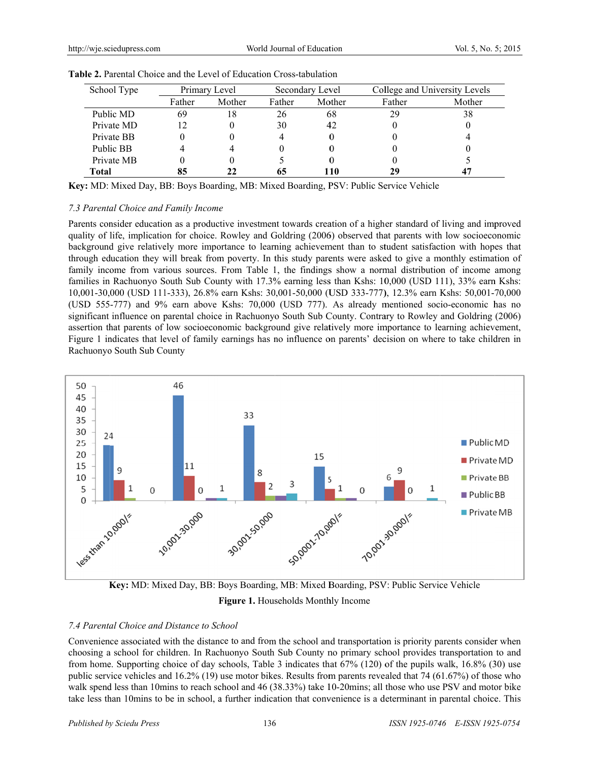| School Type | Primary Level |        | Secondary Level |        | College and University Levels |        |
|-------------|---------------|--------|-----------------|--------|-------------------------------|--------|
|             | Father        | Mother | Father          | Mother | Father                        | Mother |
| Public MD   | 69            | 18     | 26              | 68     | 29                            | 38     |
| Private MD  | 12            |        | 30              | 42     |                               |        |
| Private BB  |               |        |                 | 0      |                               |        |
| Public BB   |               | 4      |                 | O      |                               |        |
| Private MB  |               |        |                 | O      |                               |        |
| Total       |               | 22     |                 | 110    | 29                            | 47     |

| <b>Table 2.</b> Parental Choice and the Level of Education Cross-tabulation |  |  |
|-----------------------------------------------------------------------------|--|--|
|                                                                             |  |  |

Key: MD: Mixed Day, BB: Boys Boarding, MB: Mixed Boarding, PSV: Public Service Vehicle

## 7.3 Parental Choice and Family Income

Parents consider education as a productive investment towards creation of a higher standard of living and improved quality of life, implication for choice. Rowley and Goldring (2006) observed that parents with low socioeconomic background give relatively more importance to learning achievement than to student satisfaction with hopes that through education they will break from poverty. In this study parents were asked to give a monthly estimation of family income from various sources. From Table 1, the findings show a normal distribution of income among families in Rachuonyo South Sub County with 17.3% earning less than Kshs: 10,000 (USD 111), 33% earn Kshs: 10,001-30,000 (USD 111-333), 26.8% earn Kshs: 30,001-50,000 (USD 333-777), 12.3% earn Kshs: 50,001-70,000 (USD 555-777) and 9% earn above Kshs: 70,000 (USD 777). As already mentioned socio-economic has no significant influence on parental choice in Rachuonyo South Sub County. Contrary to Rowley and Goldring (2006) assertion that parents of low socioeconomic background give relatively more importance to learning achievement, Figure 1 indicates that level of family earnings has no influence on parents' decision on where to take children in Rachuonyo South Sub County





## 7.4 Parental Choice and Distance to School

Convenience associated with the distance to and from the school and transportation is priority parents consider when choosing a school for children. In Rachuonyo South Sub County no primary school provides transportation to and from home. Supporting choice of day schools, Table 3 indicates that 67% (120) of the pupils walk, 16.8% (30) use public service vehicles and 16.2% (19) use motor bikes. Results from parents revealed that 74 (61.67%) of those who walk spend less than 10mins to reach school and 46 (38.33%) take 10-20mins; all those who use PSV and motor bike take less than 10mins to be in school, a further indication that convenience is a determinant in parental choice. This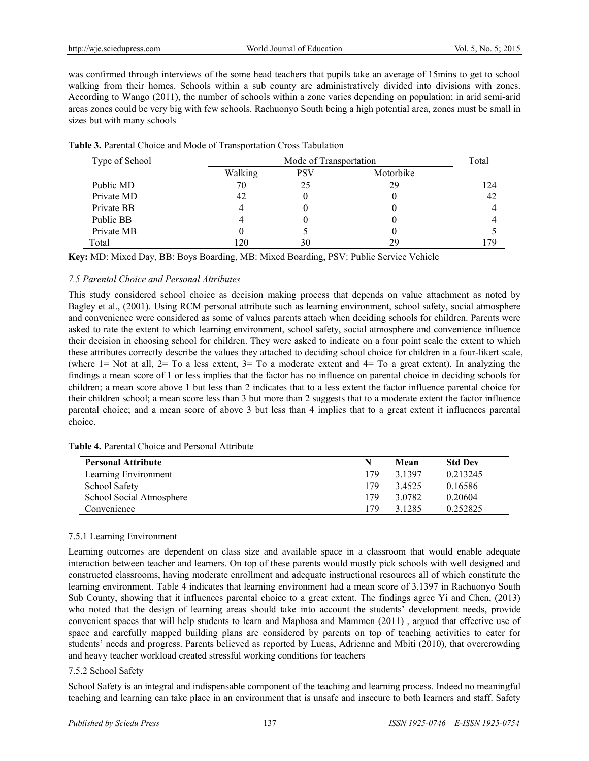was confirmed through interviews of the some head teachers that pupils take an average of 15mins to get to school walking from their homes. Schools within a sub county are administratively divided into divisions with zones. According to Wango (2011), the number of schools within a zone varies depending on population; in arid semi-arid areas zones could be very big with few schools. Rachuonyo South being a high potential area, zones must be small in sizes but with many schools

| Type of School |         | Mode of Transportation | Total     |     |
|----------------|---------|------------------------|-----------|-----|
|                | Walking | <b>PSV</b>             | Motorbike |     |
| Public MD      | 70      | 25                     | 29        | 124 |
| Private MD     | 42      |                        |           | 42  |
| Private BB     |         |                        |           |     |
| Public BB      |         |                        |           |     |
| Private MB     |         |                        |           |     |
| Total          | 120     | 30                     | 29        | 179 |

**Key:** MD: Mixed Day, BB: Boys Boarding, MB: Mixed Boarding, PSV: Public Service Vehicle

## *7.5 Parental Choice and Personal Attributes*

This study considered school choice as decision making process that depends on value attachment as noted by Bagley et al., (2001). Using RCM personal attribute such as learning environment, school safety, social atmosphere and convenience were considered as some of values parents attach when deciding schools for children. Parents were asked to rate the extent to which learning environment, school safety, social atmosphere and convenience influence their decision in choosing school for children. They were asked to indicate on a four point scale the extent to which these attributes correctly describe the values they attached to deciding school choice for children in a four-likert scale, (where  $1=$  Not at all,  $2=$  To a less extent,  $3=$  To a moderate extent and  $4=$  To a great extent). In analyzing the findings a mean score of 1 or less implies that the factor has no influence on parental choice in deciding schools for children; a mean score above 1 but less than 2 indicates that to a less extent the factor influence parental choice for their children school; a mean score less than 3 but more than 2 suggests that to a moderate extent the factor influence parental choice; and a mean score of above 3 but less than 4 implies that to a great extent it influences parental choice.

| <b>Personal Attribute</b> | N   | Mean      | <b>Std Dev</b> |
|---------------------------|-----|-----------|----------------|
| Learning Environment      | 179 | 3 1397    | 0.213245       |
| School Safety             | 179 | 34525     | 0.16586        |
| School Social Atmosphere  | 179 | 3 0 7 8 2 | 0.20604        |
| Convenience               | 179 | 3.1285    | 0.252825       |

## 7.5.1 Learning Environment

Learning outcomes are dependent on class size and available space in a classroom that would enable adequate interaction between teacher and learners. On top of these parents would mostly pick schools with well designed and constructed classrooms, having moderate enrollment and adequate instructional resources all of which constitute the learning environment. Table 4 indicates that learning environment had a mean score of 3.1397 in Rachuonyo South Sub County, showing that it influences parental choice to a great extent. The findings agree Yi and Chen, (2013) who noted that the design of learning areas should take into account the students' development needs, provide convenient spaces that will help students to learn and Maphosa and Mammen (2011) , argued that effective use of space and carefully mapped building plans are considered by parents on top of teaching activities to cater for students' needs and progress. Parents believed as reported by Lucas, Adrienne and Mbiti (2010), that overcrowding and heavy teacher workload created stressful working conditions for teachers

#### 7.5.2 School Safety

School Safety is an integral and indispensable component of the teaching and learning process. Indeed no meaningful teaching and learning can take place in an environment that is unsafe and insecure to both learners and staff. Safety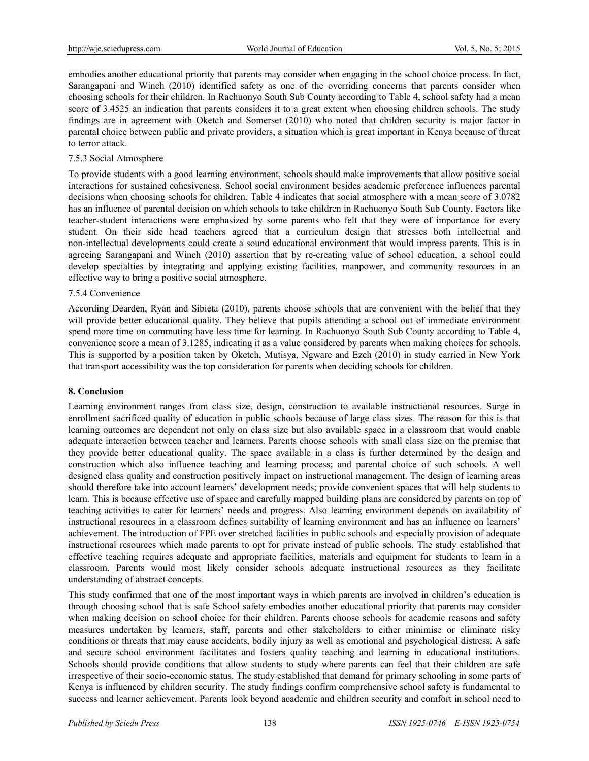embodies another educational priority that parents may consider when engaging in the school choice process. In fact, Sarangapani and Winch (2010) identified safety as one of the overriding concerns that parents consider when choosing schools for their children. In Rachuonyo South Sub County according to Table 4, school safety had a mean score of 3.4525 an indication that parents considers it to a great extent when choosing children schools. The study findings are in agreement with Oketch and Somerset (2010) who noted that children security is major factor in parental choice between public and private providers, a situation which is great important in Kenya because of threat to terror attack.

# 7.5.3 Social Atmosphere

To provide students with a good learning environment, schools should make improvements that allow positive social interactions for sustained cohesiveness. School social environment besides academic preference influences parental decisions when choosing schools for children. Table 4 indicates that social atmosphere with a mean score of 3.0782 has an influence of parental decision on which schools to take children in Rachuonyo South Sub County. Factors like teacher-student interactions were emphasized by some parents who felt that they were of importance for every student. On their side head teachers agreed that a curriculum design that stresses both intellectual and non-intellectual developments could create a sound educational environment that would impress parents. This is in agreeing Sarangapani and Winch (2010) assertion that by re-creating value of school education, a school could develop specialties by integrating and applying existing facilities, manpower, and community resources in an effective way to bring a positive social atmosphere.

## 7.5.4 Convenience

According Dearden, Ryan and Sibieta (2010), parents choose schools that are convenient with the belief that they will provide better educational quality. They believe that pupils attending a school out of immediate environment spend more time on commuting have less time for learning. In Rachuonyo South Sub County according to Table 4, convenience score a mean of 3.1285, indicating it as a value considered by parents when making choices for schools. This is supported by a position taken by Oketch, Mutisya, Ngware and Ezeh (2010) in study carried in New York that transport accessibility was the top consideration for parents when deciding schools for children.

## **8. Conclusion**

Learning environment ranges from class size, design, construction to available instructional resources. Surge in enrollment sacrificed quality of education in public schools because of large class sizes. The reason for this is that learning outcomes are dependent not only on class size but also available space in a classroom that would enable adequate interaction between teacher and learners. Parents choose schools with small class size on the premise that they provide better educational quality. The space available in a class is further determined by the design and construction which also influence teaching and learning process; and parental choice of such schools. A well designed class quality and construction positively impact on instructional management. The design of learning areas should therefore take into account learners' development needs; provide convenient spaces that will help students to learn. This is because effective use of space and carefully mapped building plans are considered by parents on top of teaching activities to cater for learners' needs and progress. Also learning environment depends on availability of instructional resources in a classroom defines suitability of learning environment and has an influence on learners' achievement. The introduction of FPE over stretched facilities in public schools and especially provision of adequate instructional resources which made parents to opt for private instead of public schools. The study established that effective teaching requires adequate and appropriate facilities, materials and equipment for students to learn in a classroom. Parents would most likely consider schools adequate instructional resources as they facilitate understanding of abstract concepts.

This study confirmed that one of the most important ways in which parents are involved in children's education is through choosing school that is safe School safety embodies another educational priority that parents may consider when making decision on school choice for their children. Parents choose schools for academic reasons and safety measures undertaken by learners, staff, parents and other stakeholders to either minimise or eliminate risky conditions or threats that may cause accidents, bodily injury as well as emotional and psychological distress. A safe and secure school environment facilitates and fosters quality teaching and learning in educational institutions. Schools should provide conditions that allow students to study where parents can feel that their children are safe irrespective of their socio-economic status. The study established that demand for primary schooling in some parts of Kenya is influenced by children security. The study findings confirm comprehensive school safety is fundamental to success and learner achievement. Parents look beyond academic and children security and comfort in school need to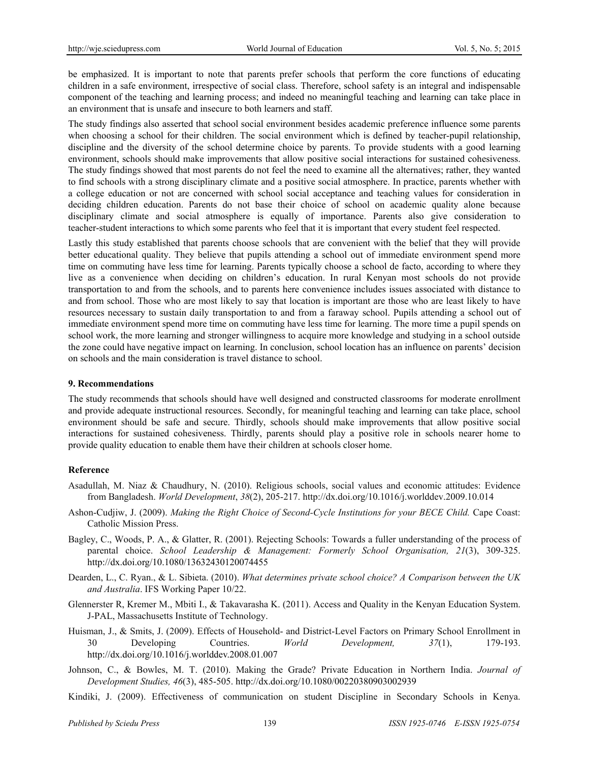be emphasized. It is important to note that parents prefer schools that perform the core functions of educating children in a safe environment, irrespective of social class. Therefore, school safety is an integral and indispensable component of the teaching and learning process; and indeed no meaningful teaching and learning can take place in an environment that is unsafe and insecure to both learners and staff.

The study findings also asserted that school social environment besides academic preference influence some parents when choosing a school for their children. The social environment which is defined by teacher-pupil relationship, discipline and the diversity of the school determine choice by parents. To provide students with a good learning environment, schools should make improvements that allow positive social interactions for sustained cohesiveness. The study findings showed that most parents do not feel the need to examine all the alternatives; rather, they wanted to find schools with a strong disciplinary climate and a positive social atmosphere. In practice, parents whether with a college education or not are concerned with school social acceptance and teaching values for consideration in deciding children education. Parents do not base their choice of school on academic quality alone because disciplinary climate and social atmosphere is equally of importance. Parents also give consideration to teacher-student interactions to which some parents who feel that it is important that every student feel respected.

Lastly this study established that parents choose schools that are convenient with the belief that they will provide better educational quality. They believe that pupils attending a school out of immediate environment spend more time on commuting have less time for learning. Parents typically choose a school de facto, according to where they live as a convenience when deciding on children's education. In rural Kenyan most schools do not provide transportation to and from the schools, and to parents here convenience includes issues associated with distance to and from school. Those who are most likely to say that location is important are those who are least likely to have resources necessary to sustain daily transportation to and from a faraway school. Pupils attending a school out of immediate environment spend more time on commuting have less time for learning. The more time a pupil spends on school work, the more learning and stronger willingness to acquire more knowledge and studying in a school outside the zone could have negative impact on learning. In conclusion, school location has an influence on parents' decision on schools and the main consideration is travel distance to school.

#### **9. Recommendations**

The study recommends that schools should have well designed and constructed classrooms for moderate enrollment and provide adequate instructional resources. Secondly, for meaningful teaching and learning can take place, school environment should be safe and secure. Thirdly, schools should make improvements that allow positive social interactions for sustained cohesiveness. Thirdly, parents should play a positive role in schools nearer home to provide quality education to enable them have their children at schools closer home.

#### **Reference**

- Asadullah, M. Niaz & Chaudhury, N. (2010). Religious schools, social values and economic attitudes: Evidence from Bangladesh. *World Development*, *38*(2), 205-217. http://dx.doi.org/10.1016/j.worlddev.2009.10.014
- Ashon-Cudjiw, J. (2009). *Making the Right Choice of Second-Cycle Institutions for your BECE Child.* Cape Coast: Catholic Mission Press.
- Bagley, C., Woods, P. A., & Glatter, R. (2001). Rejecting Schools: Towards a fuller understanding of the process of parental choice. *School Leadership & Management: Formerly School Organisation, 21*(3), 309-325. http://dx.doi.org/10.1080/13632430120074455
- Dearden, L., C. Ryan., & L. Sibieta. (2010). *What determines private school choice? A Comparison between the UK and Australia*. IFS Working Paper 10/22.
- Glennerster R, Kremer M., Mbiti I., & Takavarasha K. (2011). Access and Quality in the Kenyan Education System. J-PAL, Massachusetts Institute of Technology.
- Huisman, J., & Smits, J. (2009). Effects of Household- and District-Level Factors on Primary School Enrollment in 30 Developing Countries. *World Development, 37*(1), 179-193. http://dx.doi.org/10.1016/j.worlddev.2008.01.007
- Johnson, C., & Bowles, M. T. (2010). Making the Grade? Private Education in Northern India. *Journal of Development Studies, 46*(3), 485-505. http://dx.doi.org/10.1080/00220380903002939
- Kindiki, J. (2009). Effectiveness of communication on student Discipline in Secondary Schools in Kenya.